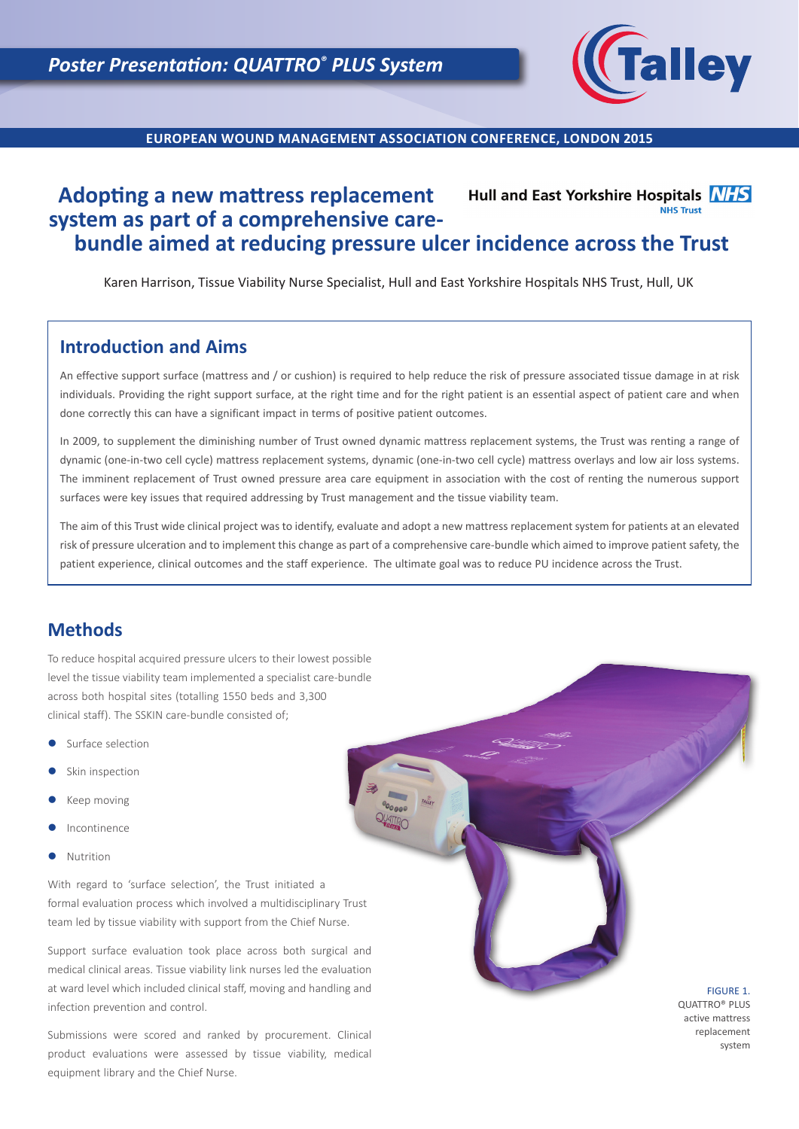

**EUROPEAN WOUND MANAGEMENT ASSOCIATION CONFERENCE, LONDON 2015**

### **Adopting a new mattress replacement**  Hull and East Yorkshire Hospitals NHS **NHS Trust system as part of a comprehensive carebundle aimed at reducing pressure ulcer incidence across the Trust**

Karen Harrison, Tissue Viability Nurse Specialist, Hull and East Yorkshire Hospitals NHS Trust, Hull, UK

# **Introduction and Aims**

An effective support surface (mattress and / or cushion) is required to help reduce the risk of pressure associated tissue damage in at risk individuals. Providing the right support surface, at the right time and for the right patient is an essential aspect of patient care and when done correctly this can have a significant impact in terms of positive patient outcomes.

In 2009, to supplement the diminishing number of Trust owned dynamic mattress replacement systems, the Trust was renting a range of dynamic (one-in-two cell cycle) mattress replacement systems, dynamic (one-in-two cell cycle) mattress overlays and low air loss systems. The imminent replacement of Trust owned pressure area care equipment in association with the cost of renting the numerous support surfaces were key issues that required addressing by Trust management and the tissue viability team.

The aim of this Trust wide clinical project was to identify, evaluate and adopt a new mattress replacement system for patients at an elevated risk of pressure ulceration and to implement this change as part of a comprehensive care-bundle which aimed to improve patient safety, the patient experience, clinical outcomes and the staff experience. The ultimate goal was to reduce PU incidence across the Trust.

# **Methods**

To reduce hospital acquired pressure ulcers to their lowest possible level the tissue viability team implemented a specialist care-bundle across both hospital sites (totalling 1550 beds and 3,300 clinical staff). The SSKIN care-bundle consisted of;

- Surface selection
- Skin inspection
- Keep moving
- Incontinence
- **Nutrition**

With regard to 'surface selection', the Trust initiated a formal evaluation process which involved a multidisciplinary Trust team led by tissue viability with support from the Chief Nurse.

Support surface evaluation took place across both surgical and medical clinical areas. Tissue viability link nurses led the evaluation at ward level which included clinical staff, moving and handling and infection prevention and control.

Submissions were scored and ranked by procurement. Clinical product evaluations were assessed by tissue viability, medical equipment library and the Chief Nurse.

FIGURE 1. QUATTRO® PLUS active mattress replacement system